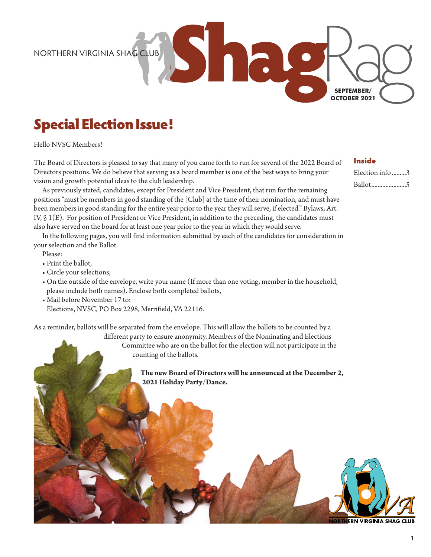NORTHERN VIRGINIA SHAG CLUB

### Special Election Issue!

Hello NVSC Members!

The Board of Directors is pleased to say that many of you came forth to run for several of the 2022 Board of Directors positions. We do believe that serving as a board member is one of the best ways to bring your vision and growth potential ideas to the club leadership.

As previously stated, candidates, except for President and Vice President, that run for the remaining positions "must be members in good standing of the [Club] at the time of their nomination, and must have been members in good standing for the entire year prior to the year they will serve, if elected." Bylaws, Art. IV, § 1(E). For position of President or Vice President, in addition to the preceding, the candidates must also have served on the board for at least one year prior to the year in which they would serve.

In the following pages, you will find information submitted by each of the candidates for consideration in your selection and the Ballot.

Please:

- Print the ballot,
- Circle your selections,
- On the outside of the envelope, write your name (If more than one voting, member in the household, please include both names). Enclose both completed ballots,
- Mail before November 17 to: Elections, NVSC, PO Box 2298, Merrifield, VA 22116.

As a reminder, ballots will be separated from the envelope. This will allow the ballots to be counted by a

different party to ensure anonymity. Members of the Nominating and Elections Committee who are on the ballot for the election will not participate in the counting of the ballots.

> **The new Board of Directors will be announced at the December 2, 2021 Holiday Party/Dance.**



**NORTHERN VIRGINIA SHAG CLUB** 

#### Inside

**SEPTEMBER/ OCTOBER 2021**

> Election info .........3 Ballot......................5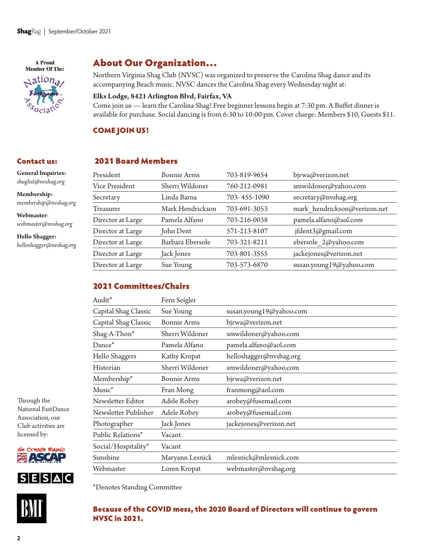A Proud **Member Of The:** 

 $\triangle$ ation<sub>a</sub>

### About Our Organization…

Northern Virginia Shag Club (NVSC) was organized to preserve the Carolina Shag dance and its accompanying Beach music. NVSC dances the Carolina Shag every Wednesday night at:

#### **Elks Lodge, 8421 Arlington Blvd, Fairfax, VA**

Come join us — learn the Carolina Shag! Free beginner lessons begin at 7:30 pm. A Buffet dinner is available for purchase. Social dancing is from 6:30 to 10:00 pm. Cover charge: Members \$10, Guests \$11.

#### COME JOIN US!

#### Contact us:

**General Inquiries:**  *shaglist@nvshag.org* 

**Membership:**  *membership@nvshag.org* 

**Webmaster**: *webmaster@nvshag.org*

**Hello Shagger:** *helloshagger@nvshag.org*

# 2021 Board Members

| President         | Bonnie Arms      |              |                              |
|-------------------|------------------|--------------|------------------------------|
|                   |                  | 703-819-9654 | bjrwa@verizon.net            |
| Vice President    | Sherri Wildoner  | 760-212-0981 | smwildoner@yahoo.com         |
| Secretary         | Linda Barna      | 703-455-1090 | secretary@nvshag.org         |
| <b>Treasurer</b>  | Mark Hendrickson | 703-691-3053 | mark hendrickson@verizon.net |
| Director at Large | Pamela Alfano    | 703-216-0038 | pamela.alfano@aol.com        |
| Director at Large | John Dent        | 571-213-8107 | jfdent3@gmail.com            |
| Director at Large | Barbara Ebersole | 703-321-8211 | ebersole 2@yahoo.com         |
| Director at Large | Jack Jones       | 703-801-3555 | jackejones@verizon.net       |
| Director at Large | Sue Young        | 703-573-6870 | susan.young19@yahoo.com      |
|                   |                  |              |                              |

#### 2021 Committees/Chairs

| Audit*               | Fern Seigler       |                         |  |
|----------------------|--------------------|-------------------------|--|
| Capital Shag Classic | Sue Young          | susan.young19@yahoo.com |  |
| Capital Shag Classic | <b>Bonnie Arms</b> | bjrwa@verizon.net       |  |
| Shag-A-Thon*         | Sherri Wildoner    | smwildoner@yahoo.com    |  |
| Dance <sup>*</sup>   | Pamela Alfano      | pamela.alfano@aol.com   |  |
| Hello Shaggers       | Kathy Kropat       | helloshagger@nvshag.org |  |
| Historian            | Sherri Wildoner    | smwildoner@yahoo.com    |  |
| Membership*          | <b>Bonnie Arms</b> | bjrwa@verizon.net       |  |
| $Musc^*$             | Fran Mong          | franmong@aol.com        |  |
| Newsletter Editor    | Adele Robey        | arobey@fusemail.com     |  |
| Newsletter Publisher | Adele Robey        | arobey@fusemail.com     |  |
| Photographer         | Jack Jones         | jackejones@verizon.net  |  |
| Public Relations*    | Vacant             |                         |  |
| Social/Hospitality*  | Vacant             |                         |  |
| Sunshine             | Maryann Lesnick    | mlesnick@mlesnick.com   |  |
| Webmaster            | Loren Kropat       | webmaster@nvshag.org    |  |

Through the National FastDance Association, our Club activities are licensed by:







\*Denotes Standing Committee

#### Because of the COVID mess, the 2020 Board of Directors will continue to govern NVSC in 2021.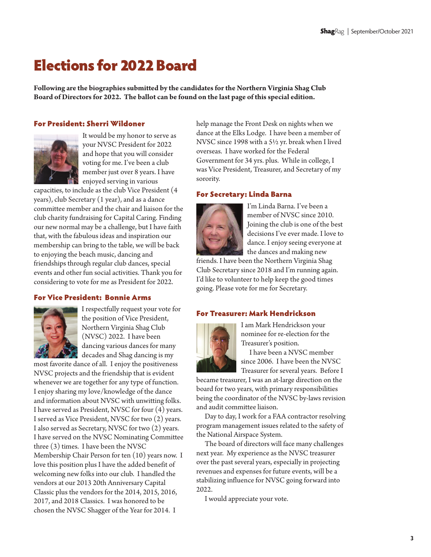## Elections for 2022 Board

**Following are the biographies submitted by the candidates for the Northern Virginia Shag Club Board of Directors for 2022. The ballot can be found on the last page of this special edition.**

#### For President: Sherri Wildoner



It would be my honor to serve as your NVSC President for 2022 and hope that you will consider voting for me. I've been a club member just over 8 years. I have enjoyed serving in various

capacities, to include as the club Vice President (4 years), club Secretary (1 year), and as a dance committee member and the chair and liaison for the club charity fundraising for Capital Caring. Finding our new normal may be a challenge, but I have faith that, with the fabulous ideas and inspiration our membership can bring to the table, we will be back to enjoying the beach music, dancing and friendships through regular club dances, special events and other fun social activities. Thank you for considering to vote for me as President for 2022.

#### For Vice President: Bonnie Arms



I respectfully request your vote for the position of Vice President, Northern Virginia Shag Club (NVSC) 2022. I have been dancing various dances for many decades and Shag dancing is my

most favorite dance of all. I enjoy the positiveness NVSC projects and the friendship that is evident whenever we are together for any type of function. I enjoy sharing my love/knowledge of the dance and information about NVSC with unwitting folks. I have served as President, NVSC for four (4) years. I served as Vice President, NVSC for two (2) years. I also served as Secretary, NVSC for two (2) years. I have served on the NVSC Nominating Committee three (3) times. I have been the NVSC Membership Chair Person for ten (10) years now. I love this position plus I have the added benefit of welcoming new folks into our club. I handled the vendors at our 2013 20th Anniversary Capital Classic plus the vendors for the 2014, 2015, 2016, 2017, and 2018 Classics. I was honored to be chosen the NVSC Shagger of the Year for 2014. I

help manage the Front Desk on nights when we dance at the Elks Lodge. I have been a member of NVSC since 1998 with a 5½ yr. break when I lived overseas. I have worked for the Federal Government for 34 yrs. plus. While in college, I was Vice President, Treasurer, and Secretary of my sorority.

#### For Secretary: Linda Barna



I'm Linda Barna. I've been a member of NVSC since 2010. Joining the club is one of the best decisions I've ever made. I love to dance. I enjoy seeing everyone at the dances and making new

friends. I have been the Northern Virginia Shag Club Secretary since 2018 and I'm running again. I'd like to volunteer to help keep the good times going. Please vote for me for Secretary.

#### For Treasurer: Mark Hendrickson



I am Mark Hendrickson your nominee for re-election for the Treasurer's position.

I have been a NVSC member since 2006. I have been the NVSC Treasurer for several years. Before I

became treasurer, I was an at-large direction on the board for two years, with primary responsibilities being the coordinator of the NVSC by-laws revision and audit committee liaison.

Day to day, I work for a FAA contractor resolving program management issues related to the safety of the National Airspace System.

The board of directors will face many challenges next year. My experience as the NVSC treasurer over the past several years, especially in projecting revenues and expenses for future events, will be a stabilizing influence for NVSC going forward into 2022.

I would appreciate your vote.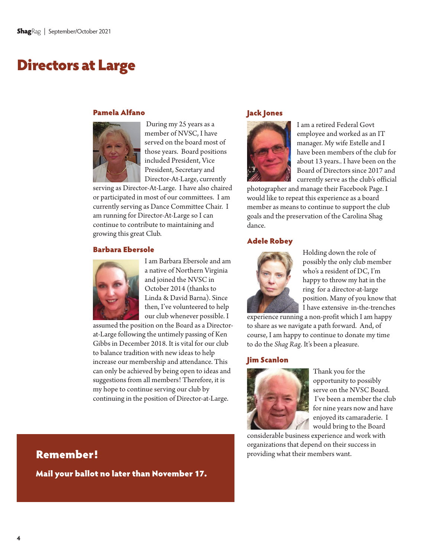### Directors at Large

#### Pamela Alfano



 During my 25 years as a member of NVSC, I have served on the board most of those years. Board positions included President, Vice President, Secretary and Director-At-Large, currently

serving as Director-At-Large. I have also chaired or participated in most of our committees. I am currently serving as Dance Committee Chair. I am running for Director-At-Large so I can continue to contribute to maintaining and growing this great Club.

#### Barbara Ebersole



I am Barbara Ebersole and am a native of Northern Virginia and joined the NVSC in October 2014 (thanks to Linda & David Barna). Since then, I've volunteered to help our club whenever possible. I

assumed the position on the Board as a Directorat-Large following the untimely passing of Ken Gibbs in December 2018. It is vital for our club to balance tradition with new ideas to help increase our membership and attendance. This can only be achieved by being open to ideas and suggestions from all members! Therefore, it is my hope to continue serving our club by continuing in the position of Director-at-Large.

#### Jack Jones



I am a retired Federal Govt employee and worked as an IT manager. My wife Estelle and I have been members of the club for about 13 years.. I have been on the Board of Directors since 2017 and currently serve as the club's official

photographer and manage their Facebook Page. I would like to repeat this experience as a board member as means to continue to support the club goals and the preservation of the Carolina Shag dance.

#### Adele Robey



Holding down the role of possibly the only club member who's a resident of DC, I'm happy to throw my hat in the ring for a director-at-large position. Many of you know that I have extensive in-the-trenches

experience running a non-profit which I am happy to share as we navigate a path forward. And, of course, I am happy to continue to donate my time to do the *Shag Rag*. It's been a pleasure.

#### Jim Scanlon



Thank you for the opportunity to possibly serve on the NVSC Board. I've been a member the club for nine years now and have enjoyed its camaraderie. I would bring to the Board

considerable business experience and work with organizations that depend on their success in **Remember! Example 2018 Remembers** want.

Mail your ballot no later than November 17.